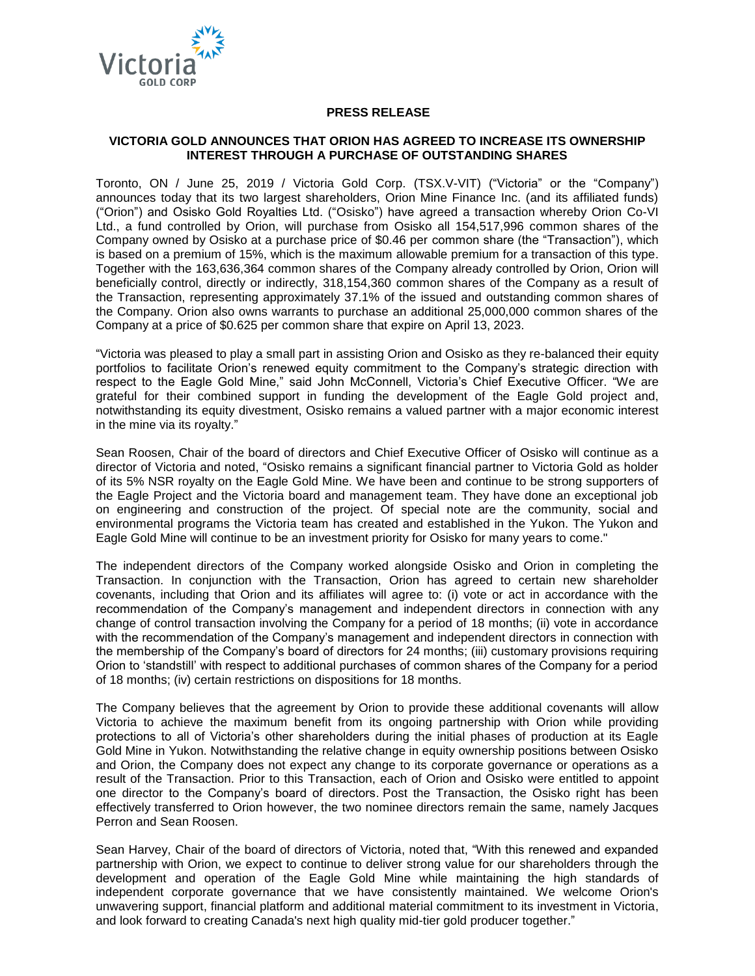

# **PRESS RELEASE**

# **VICTORIA GOLD ANNOUNCES THAT ORION HAS AGREED TO INCREASE ITS OWNERSHIP INTEREST THROUGH A PURCHASE OF OUTSTANDING SHARES**

Toronto, ON / June 25, 2019 / Victoria Gold Corp. (TSX.V-VIT) ("Victoria" or the "Company") announces today that its two largest shareholders, Orion Mine Finance Inc. (and its affiliated funds) ("Orion") and Osisko Gold Royalties Ltd. ("Osisko") have agreed a transaction whereby Orion Co-VI Ltd., a fund controlled by Orion, will purchase from Osisko all 154,517,996 common shares of the Company owned by Osisko at a purchase price of \$0.46 per common share (the "Transaction"), which is based on a premium of 15%, which is the maximum allowable premium for a transaction of this type. Together with the 163,636,364 common shares of the Company already controlled by Orion, Orion will beneficially control, directly or indirectly, 318,154,360 common shares of the Company as a result of the Transaction, representing approximately 37.1% of the issued and outstanding common shares of the Company. Orion also owns warrants to purchase an additional 25,000,000 common shares of the Company at a price of \$0.625 per common share that expire on April 13, 2023.

"Victoria was pleased to play a small part in assisting Orion and Osisko as they re-balanced their equity portfolios to facilitate Orion's renewed equity commitment to the Company's strategic direction with respect to the Eagle Gold Mine," said John McConnell, Victoria's Chief Executive Officer. "We are grateful for their combined support in funding the development of the Eagle Gold project and, notwithstanding its equity divestment, Osisko remains a valued partner with a major economic interest in the mine via its royalty."

Sean Roosen, Chair of the board of directors and Chief Executive Officer of Osisko will continue as a director of Victoria and noted, "Osisko remains a significant financial partner to Victoria Gold as holder of its 5% NSR royalty on the Eagle Gold Mine. We have been and continue to be strong supporters of the Eagle Project and the Victoria board and management team. They have done an exceptional job on engineering and construction of the project. Of special note are the community, social and environmental programs the Victoria team has created and established in the Yukon. The Yukon and Eagle Gold Mine will continue to be an investment priority for Osisko for many years to come."

The independent directors of the Company worked alongside Osisko and Orion in completing the Transaction. In conjunction with the Transaction, Orion has agreed to certain new shareholder covenants, including that Orion and its affiliates will agree to: (i) vote or act in accordance with the recommendation of the Company's management and independent directors in connection with any change of control transaction involving the Company for a period of 18 months; (ii) vote in accordance with the recommendation of the Company's management and independent directors in connection with the membership of the Company's board of directors for 24 months; (iii) customary provisions requiring Orion to 'standstill' with respect to additional purchases of common shares of the Company for a period of 18 months; (iv) certain restrictions on dispositions for 18 months.

The Company believes that the agreement by Orion to provide these additional covenants will allow Victoria to achieve the maximum benefit from its ongoing partnership with Orion while providing protections to all of Victoria's other shareholders during the initial phases of production at its Eagle Gold Mine in Yukon. Notwithstanding the relative change in equity ownership positions between Osisko and Orion, the Company does not expect any change to its corporate governance or operations as a result of the Transaction. Prior to this Transaction, each of Orion and Osisko were entitled to appoint one director to the Company's board of directors. Post the Transaction, the Osisko right has been effectively transferred to Orion however, the two nominee directors remain the same, namely Jacques Perron and Sean Roosen.

Sean Harvey, Chair of the board of directors of Victoria, noted that, "With this renewed and expanded partnership with Orion, we expect to continue to deliver strong value for our shareholders through the development and operation of the Eagle Gold Mine while maintaining the high standards of independent corporate governance that we have consistently maintained. We welcome Orion's unwavering support, financial platform and additional material commitment to its investment in Victoria, and look forward to creating Canada's next high quality mid-tier gold producer together."